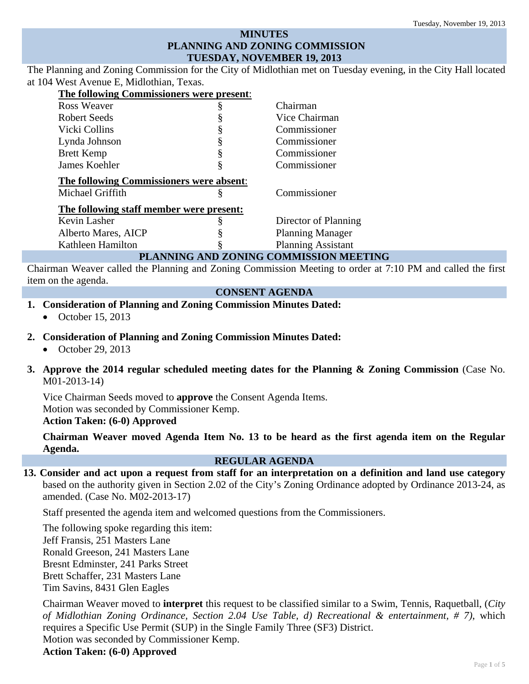# **MINUTES PLANNING AND ZONING COMMISSION TUESDAY, NOVEMBER 19, 2013**

The Planning and Zoning Commission for the City of Midlothian met on Tuesday evening, in the City Hall located at 104 West Avenue E, Midlothian, Texas.

| The following Commissioners were present:                                                                                                |   |                           |  |
|------------------------------------------------------------------------------------------------------------------------------------------|---|---------------------------|--|
| Ross Weaver                                                                                                                              | ş | Chairman                  |  |
| Robert Seeds                                                                                                                             |   | Vice Chairman             |  |
| Vicki Collins                                                                                                                            | § | Commissioner              |  |
| Lynda Johnson                                                                                                                            | § | Commissioner              |  |
| <b>Brett Kemp</b>                                                                                                                        | § | Commissioner              |  |
| James Koehler                                                                                                                            | § | Commissioner              |  |
| The following Commissioners were absent:                                                                                                 |   |                           |  |
| Michael Griffith                                                                                                                         | Š | Commissioner              |  |
| The following staff member were present:                                                                                                 |   |                           |  |
| Kevin Lasher                                                                                                                             |   | Director of Planning      |  |
| Alberto Mares, AICP                                                                                                                      |   | <b>Planning Manager</b>   |  |
| Kathleen Hamilton                                                                                                                        |   | <b>Planning Assistant</b> |  |
| $\boldsymbol{\tau}$ only $\boldsymbol{\alpha}$ and $\boldsymbol{\tau}$ $\boldsymbol{\tau}$ $\boldsymbol{\alpha}$ and $\boldsymbol{\tau}$ |   |                           |  |

#### **PLANNING AND ZONING COMMISSION MEETING**

Chairman Weaver called the Planning and Zoning Commission Meeting to order at 7:10 PM and called the first item on the agenda.

#### **CONSENT AGENDA**

- **1. Consideration of Planning and Zoning Commission Minutes Dated:** 
	- October 15, 2013
- **2. Consideration of Planning and Zoning Commission Minutes Dated:** 
	- $\bullet$  October 29, 2013
- **3. Approve the 2014 regular scheduled meeting dates for the Planning & Zoning Commission** (Case No. M01-2013-14)

Vice Chairman Seeds moved to **approve** the Consent Agenda Items. Motion was seconded by Commissioner Kemp. **Action Taken: (6-0) Approved** 

**Chairman Weaver moved Agenda Item No. 13 to be heard as the first agenda item on the Regular Agenda.** 

#### **REGULAR AGENDA**

**13. Consider and act upon a request from staff for an interpretation on a definition and land use category**  based on the authority given in Section 2.02 of the City's Zoning Ordinance adopted by Ordinance 2013-24, as amended. (Case No. M02-2013-17)

Staff presented the agenda item and welcomed questions from the Commissioners.

The following spoke regarding this item: Jeff Fransis, 251 Masters Lane Ronald Greeson, 241 Masters Lane Bresnt Edminster, 241 Parks Street Brett Schaffer, 231 Masters Lane Tim Savins, 8431 Glen Eagles

Chairman Weaver moved to **interpret** this request to be classified similar to a Swim, Tennis, Raquetball, (*City of Midlothian Zoning Ordinance, Section 2.04 Use Table, d) Recreational & entertainment, # 7)*, which requires a Specific Use Permit (SUP) in the Single Family Three (SF3) District.

Motion was seconded by Commissioner Kemp.

**Action Taken: (6-0) Approved**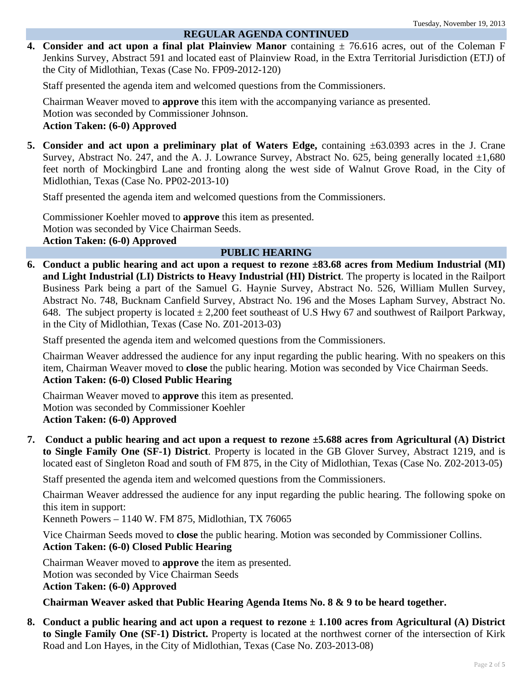### **REGULAR AGENDA CONTINUED**

**4. Consider and act upon a final plat Plainview Manor** containing  $\pm$  76.616 acres, out of the Coleman F Jenkins Survey, Abstract 591 and located east of Plainview Road, in the Extra Territorial Jurisdiction (ETJ) of the City of Midlothian, Texas (Case No. FP09-2012-120)

Staff presented the agenda item and welcomed questions from the Commissioners.

Chairman Weaver moved to **approve** this item with the accompanying variance as presented. Motion was seconded by Commissioner Johnson.

# **Action Taken: (6-0) Approved**

**5. Consider and act upon a preliminary plat of Waters Edge,** containing ±63.0393 acres in the J. Crane Survey, Abstract No. 247, and the A. J. Lowrance Survey, Abstract No. 625, being generally located  $\pm 1,680$ feet north of Mockingbird Lane and fronting along the west side of Walnut Grove Road, in the City of Midlothian, Texas (Case No. PP02-2013-10)

Staff presented the agenda item and welcomed questions from the Commissioners.

Commissioner Koehler moved to **approve** this item as presented. Motion was seconded by Vice Chairman Seeds. **Action Taken: (6-0) Approved** 

# **PUBLIC HEARING**

**6. Conduct a public hearing and act upon a request to rezone ±83.68 acres from Medium Industrial (MI) and Light Industrial (LI) Districts to Heavy Industrial (HI) District**. The property is located in the Railport Business Park being a part of the Samuel G. Haynie Survey, Abstract No. 526, William Mullen Survey, Abstract No. 748, Bucknam Canfield Survey, Abstract No. 196 and the Moses Lapham Survey, Abstract No. 648. The subject property is located  $\pm 2,200$  feet southeast of U.S Hwy 67 and southwest of Railport Parkway, in the City of Midlothian, Texas (Case No. Z01-2013-03)

Staff presented the agenda item and welcomed questions from the Commissioners.

Chairman Weaver addressed the audience for any input regarding the public hearing. With no speakers on this item, Chairman Weaver moved to **close** the public hearing. Motion was seconded by Vice Chairman Seeds. **Action Taken: (6-0) Closed Public Hearing** 

Chairman Weaver moved to **approve** this item as presented. Motion was seconded by Commissioner Koehler **Action Taken: (6-0) Approved** 

**7. Conduct a public hearing and act upon a request to rezone ±5.688 acres from Agricultural (A) District to Single Family One (SF-1) District**. Property is located in the GB Glover Survey, Abstract 1219, and is located east of Singleton Road and south of FM 875, in the City of Midlothian, Texas (Case No. Z02-2013-05)

Staff presented the agenda item and welcomed questions from the Commissioners.

Chairman Weaver addressed the audience for any input regarding the public hearing. The following spoke on this item in support:

Kenneth Powers – 1140 W. FM 875, Midlothian, TX 76065

Vice Chairman Seeds moved to **close** the public hearing. Motion was seconded by Commissioner Collins. **Action Taken: (6-0) Closed Public Hearing** 

Chairman Weaver moved to **approve** the item as presented. Motion was seconded by Vice Chairman Seeds **Action Taken: (6-0) Approved** 

**Chairman Weaver asked that Public Hearing Agenda Items No. 8 & 9 to be heard together.** 

**8. Conduct a public hearing and act upon a request to rezone ± 1.100 acres from Agricultural (A) District to Single Family One (SF-1) District.** Property is located at the northwest corner of the intersection of Kirk Road and Lon Hayes, in the City of Midlothian, Texas (Case No. Z03-2013-08)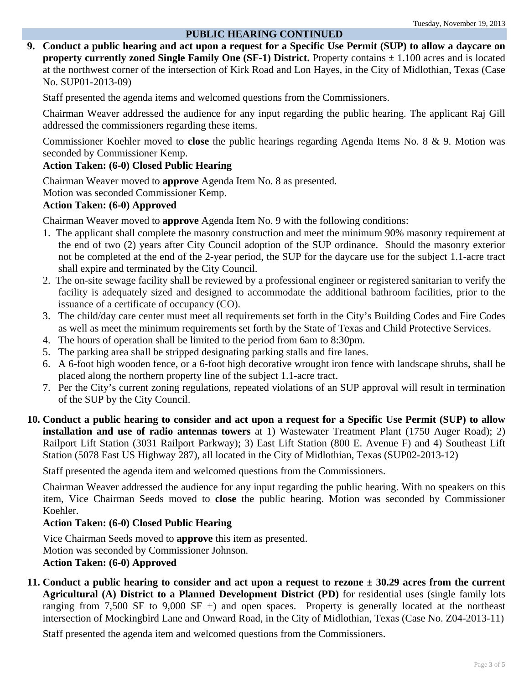#### **PUBLIC HEARING CONTINUED**

**9. Conduct a public hearing and act upon a request for a Specific Use Permit (SUP) to allow a daycare on property currently zoned Single Family One (SF-1) District.** Property contains ± 1.100 acres and is located at the northwest corner of the intersection of Kirk Road and Lon Hayes, in the City of Midlothian, Texas (Case No. SUP01-2013-09)

Staff presented the agenda items and welcomed questions from the Commissioners.

Chairman Weaver addressed the audience for any input regarding the public hearing. The applicant Raj Gill addressed the commissioners regarding these items.

Commissioner Koehler moved to **close** the public hearings regarding Agenda Items No. 8 & 9. Motion was seconded by Commissioner Kemp.

#### **Action Taken: (6-0) Closed Public Hearing**

Chairman Weaver moved to **approve** Agenda Item No. 8 as presented. Motion was seconded Commissioner Kemp.

#### **Action Taken: (6-0) Approved**

Chairman Weaver moved to **approve** Agenda Item No. 9 with the following conditions:

- 1. The applicant shall complete the masonry construction and meet the minimum 90% masonry requirement at the end of two (2) years after City Council adoption of the SUP ordinance. Should the masonry exterior not be completed at the end of the 2-year period, the SUP for the daycare use for the subject 1.1-acre tract shall expire and terminated by the City Council.
- 2. The on-site sewage facility shall be reviewed by a professional engineer or registered sanitarian to verify the facility is adequately sized and designed to accommodate the additional bathroom facilities, prior to the issuance of a certificate of occupancy (CO).
- 3. The child/day care center must meet all requirements set forth in the City's Building Codes and Fire Codes as well as meet the minimum requirements set forth by the State of Texas and Child Protective Services.
- 4. The hours of operation shall be limited to the period from 6am to 8:30pm.
- 5. The parking area shall be stripped designating parking stalls and fire lanes.
- 6. A 6-foot high wooden fence, or a 6-foot high decorative wrought iron fence with landscape shrubs, shall be placed along the northern property line of the subject 1.1-acre tract.
- 7. Per the City's current zoning regulations, repeated violations of an SUP approval will result in termination of the SUP by the City Council.
- **10. Conduct a public hearing to consider and act upon a request for a Specific Use Permit (SUP) to allow installation and use of radio antennas towers** at 1) Wastewater Treatment Plant (1750 Auger Road); 2) Railport Lift Station (3031 Railport Parkway); 3) East Lift Station (800 E. Avenue F) and 4) Southeast Lift Station (5078 East US Highway 287), all located in the City of Midlothian, Texas (SUP02-2013-12)

Staff presented the agenda item and welcomed questions from the Commissioners.

Chairman Weaver addressed the audience for any input regarding the public hearing. With no speakers on this item, Vice Chairman Seeds moved to **close** the public hearing. Motion was seconded by Commissioner Koehler.

# **Action Taken: (6-0) Closed Public Hearing**

Vice Chairman Seeds moved to **approve** this item as presented. Motion was seconded by Commissioner Johnson. **Action Taken: (6-0) Approved** 

**11. Conduct a public hearing to consider and act upon a request to rezone ± 30.29 acres from the current Agricultural (A) District to a Planned Development District (PD)** for residential uses (single family lots ranging from 7,500 SF to 9,000 SF  $+$ ) and open spaces. Property is generally located at the northeast intersection of Mockingbird Lane and Onward Road, in the City of Midlothian, Texas (Case No. Z04-2013-11)

Staff presented the agenda item and welcomed questions from the Commissioners.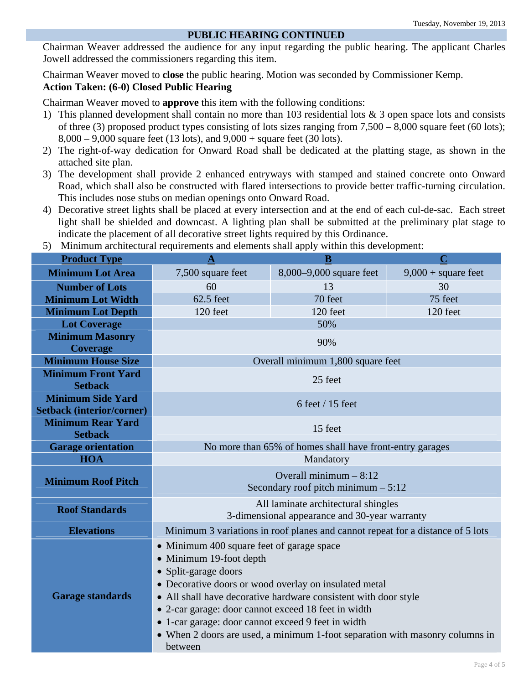# **PUBLIC HEARING CONTINUED**

Chairman Weaver addressed the audience for any input regarding the public hearing. The applicant Charles Jowell addressed the commissioners regarding this item.

Chairman Weaver moved to **close** the public hearing. Motion was seconded by Commissioner Kemp. **Action Taken: (6-0) Closed Public Hearing** 

Chairman Weaver moved to **approve** this item with the following conditions:

- 1) This planned development shall contain no more than 103 residential lots & 3 open space lots and consists of three (3) proposed product types consisting of lots sizes ranging from 7,500 – 8,000 square feet (60 lots);  $8,000 - 9,000$  square feet (13 lots), and  $9,000 +$  square feet (30 lots).
- 2) The right-of-way dedication for Onward Road shall be dedicated at the platting stage, as shown in the attached site plan.
- 3) The development shall provide 2 enhanced entryways with stamped and stained concrete onto Onward Road, which shall also be constructed with flared intersections to provide better traffic-turning circulation. This includes nose stubs on median openings onto Onward Road.
- 4) Decorative street lights shall be placed at every intersection and at the end of each cul-de-sac. Each street light shall be shielded and downcast. A lighting plan shall be submitted at the preliminary plat stage to indicate the placement of all decorative street lights required by this Ordinance.
- **Product Type A B C A B C B B Minimum Lot Area** 2,500 square feet 8,000–9,000 square feet 9,000 + square feet **Number of Lots 60** 13 30 30 **Minimum Lot Width** 62.5 feet 70 feet 75 feet **Minimum Lot Depth 120 feet** 120 **feet** 120 **feet** 120 **feet** 120 **feet Lot Coverage** 50% **Minimum Masonry Coverage 90% Minimum House Size Overall minimum 1,800 square feet Minimum Front Yard Setback** 25 feet **Minimum Side Yard Setback (interior/corner) 6 feet / 15 feet**  $6$  feet / 15 feet **Minimum Rear Yard Setback** 15 feet **Garage orientation** No more than 65% of homes shall have front-entry garages **HOA Mandatory Minimum Roof Pitch** Overall minimum – 8:12 Secondary roof pitch minimum – 5:12 **Roof Standards All laminate architectural shingles** 3-dimensional appearance and 30-year warranty **Elevations** Minimum 3 variations in roof planes and cannot repeat for a distance of 5 lots **Garage standards**  • Minimum 400 square feet of garage space Minimum 19-foot depth • Split-garage doors Decorative doors or wood overlay on insulated metal All shall have decorative hardware consistent with door style 2-car garage: door cannot exceed 18 feet in width 1-car garage: door cannot exceed 9 feet in width When 2 doors are used, a minimum 1-foot separation with masonry columns in between
- 5) Minimum architectural requirements and elements shall apply within this development: